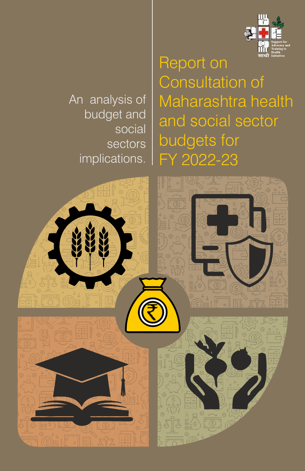

An analysis of budget and social sectors implications.

Report on Consultation of Maharashtra health and social sector budgets for FY 2022-23

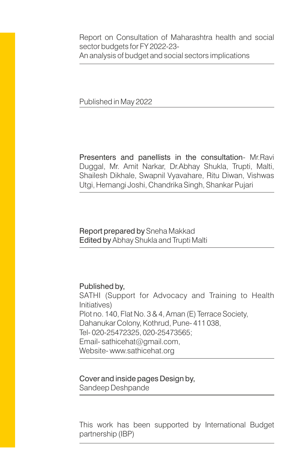Published in May 2022

Presenters and panellists in the consultation- Mr.Ravi Duggal, Mr. Amit Narkar, Dr.Abhay Shukla, Trupti, Malti, Shailesh Dikhale, Swapnil Vyavahare, Ritu Diwan, Vishwas Utgi, Hemangi Joshi, Chandrika Singh, Shankar Pujari

Edited by Abhay Shukla and Trupti Malti Report prepared by Sneha Makkad

Plot no. 140, Flat No. 3 & 4, Aman (E) Terrace Society, Published by, Website- www.sathicehat.org SATHI (Support for Advocacy and Training to Health Initiatives) Dahanukar Colony, Kothrud, Pune- 411 038, Tel- 020-25472325, 020-25473565; Email- sathicehat@gmail.com,

Sandeep Deshpande Cover and inside pages Design by,

This work has been supported by International Budget partnership (IBP)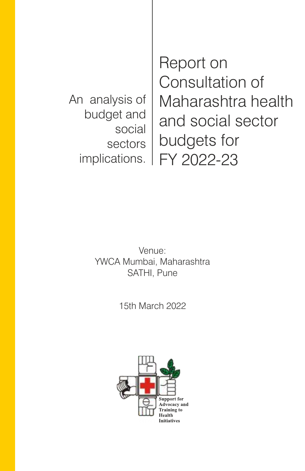An analysis of budget and social sectors

implications. FY 2022-23 Report on Consultation of Maharashtra health and social sector budgets for

Venue: YWCA Mumbai, Maharashtra SATHI, Pune

15th March 2022

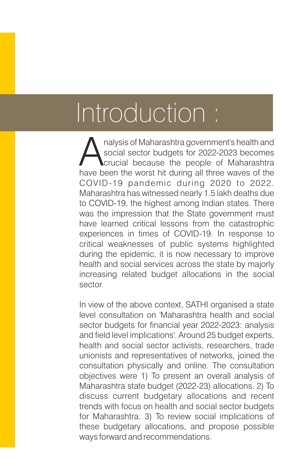# Introduction :

nalysis of Maharashtra government's health and<br>social sector budgets for 2022-2023 becomes crucial because the people of Maharashtra have been the worst hit during all three waves of the COVID-19 pandemic during 2020 to 2022. Maharashtra has witnessed nearly 1.5 lakh deaths due to COVID-19, the highest among Indian states. There was the impression that the State government must have learned critical lessons from the catastrophic experiences in times of COVID-19. In response to critical weaknesses of public systems highlighted during the epidemic, it is now necessary to improve health and social services across the state by majorly increasing related budget allocations in the social sector.

In view of the above context, SATHI organised a state level consultation on 'Maharashtra health and social sector budgets for financial year 2022-2023: analysis and field level implications'. Around 25 budget experts, health and social sector activists, researchers, trade unionists and representatives of networks, joined the consultation physically and online. The consultation objectives were 1) To present an overall analysis of Maharashtra state budget (2022-23) allocations. 2) To discuss current budgetary allocations and recent trends with focus on health and social sector budgets for Maharashtra. 3) To review social implications of these budgetary allocations, and propose possible ways forward and recommendations.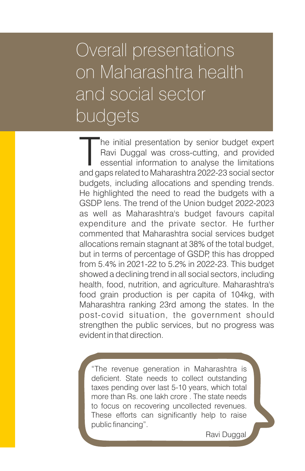# Overall presentations on Maharashtra health and social sector budgets

he initial presentation by senior budget expert TRavi Duggal was cross-cutting, and provided essential information to analyse the limitations and gaps related to Maharashtra 2022-23 social sector budgets, including allocations and spending trends. He highlighted the need to read the budgets with a GSDP lens. The trend of the Union budget 2022-2023 as well as Maharashtra's budget favours capital expenditure and the private sector. He further commented that Maharashtra social services budget allocations remain stagnant at 38% of the total budget, but in terms of percentage of GSDP, this has dropped from 5.4% in 2021-22 to 5.2% in 2022-23. This budget showed a declining trend in all social sectors, including health, food, nutrition, and agriculture. Maharashtra's food grain production is per capita of 104kg, with Maharashtra ranking 23rd among the states. In the post-covid situation, the government should strengthen the public services, but no progress was evident in that direction.

"The revenue generation in Maharashtra is deficient. State needs to collect outstanding taxes pending over last 5-10 years, which total more than Rs. one lakh crore . The state needs to focus on recovering uncollected revenues. These efforts can significantly help to raise public financing".

Ravi Duggal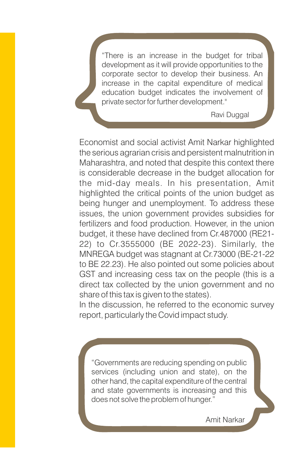"There is an increase in the budget for tribal development as it will provide opportunities to the corporate sector to develop their business. An increase in the capital expenditure of medical education budget indicates the involvement of private sector for further development."

Ravi Duggal

Economist and social activist Amit Narkar highlighted the serious agrarian crisis and persistent malnutrition in Maharashtra, and noted that despite this context there is considerable decrease in the budget allocation for the mid-day meals. In his presentation, Amit highlighted the critical points of the union budget as being hunger and unemployment. To address these issues, the union government provides subsidies for fertilizers and food production. However, in the union budget, it these have declined from Cr.487000 (RE21- 22) to Cr.3555000 (BE 2022-23). Similarly, the MNREGA budget was stagnant at Cr.73000 (BE-21-22 to BE 22.23). He also pointed out some policies about GST and increasing cess tax on the people (this is a direct tax collected by the union government and no share of this tax is given to the states).

In the discussion, he referred to the economic survey report, particularly the Covid impact study.

"Governments are reducing spending on public services (including union and state), on the other hand, the capital expenditure of the central and state governments is increasing and this does not solve the problem of hunger."

Amit Narkar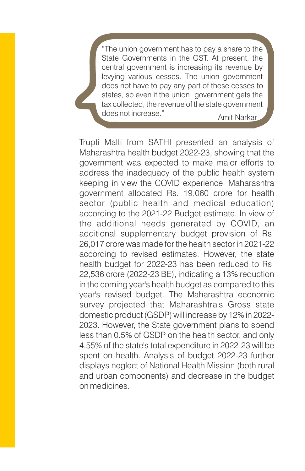"The union government has to pay a share to the State Governments in the GST. At present, the central government is increasing its revenue by levying various cesses. The union government does not have to pay any part of these cesses to states, so even if the union government gets the tax collected, the revenue of the state government does not increase." Amit Narkar

Trupti Malti from SATHI presented an analysis of Maharashtra health budget 2022-23, showing that the government was expected to make major efforts to address the inadequacy of the public health system keeping in view the COVID experience. Maharashtra government allocated Rs. 19,060 crore for health sector (public health and medical education) according to the 2021-22 Budget estimate. In view of the additional needs generated by COVID, an additional supplementary budget provision of Rs. 26,017 crore was made for the health sector in 2021-22 according to revised estimates. However, the state health budget for 2022-23 has been reduced to Rs. 22,536 crore (2022-23 BE), indicating a 13% reduction in the coming year's health budget as compared to this year's revised budget. The Maharashtra economic survey projected that Maharashtra's Gross state domestic product (GSDP) will increase by 12% in 2022- 2023. However, the State government plans to spend less than 0.5% of GSDP on the health sector, and only 4.55% of the state's total expenditure in 2022-23 will be spent on health. Analysis of budget 2022-23 further displays neglect of National Health Mission (both rural and urban components) and decrease in the budget on medicines.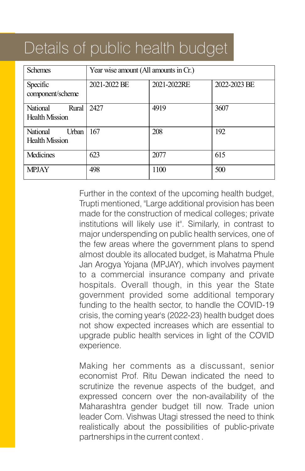#### Details of public health budget

| <b>Schemes</b>                             | Year wise amount (All amounts in Cr.) |             |              |
|--------------------------------------------|---------------------------------------|-------------|--------------|
| Specific<br>component/scheme               | 2021-2022 BE                          | 2021-2022RE | 2022-2023 BE |
| National<br>Rural<br><b>Health Mission</b> | 2427                                  | 4919        | 3607         |
| National<br>Urban<br><b>Health Mission</b> | 167                                   | 208         | 192          |
| Medicines                                  | 623                                   | 2077        | 615          |
| <b>MPJAY</b>                               | 498                                   | 1100        | 500          |

Further in the context of the upcoming health budget, Trupti mentioned, "Large additional provision has been made for the construction of medical colleges; private institutions will likely use it". Similarly, in contrast to major underspending on public health services, one of the few areas where the government plans to spend almost double its allocated budget, is Mahatma Phule Jan Arogya Yojana (MPJAY), which involves payment to a commercial insurance company and private hospitals. Overall though, in this year the State government provided some additional temporary funding to the health sector, to handle the COVID-19 crisis, the coming year's (2022-23) health budget does not show expected increases which are essential to upgrade public health services in light of the COVID experience.

Making her comments as a discussant, senior economist Prof. Ritu Dewan indicated the need to scrutinize the revenue aspects of the budget, and expressed concern over the non-availability of the Maharashtra gender budget till now. Trade union leader Com. Vishwas Utagi stressed the need to think realistically about the possibilities of public-private partnerships in the current context .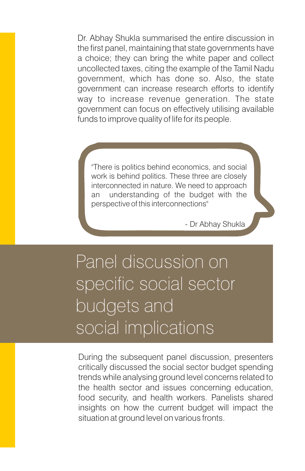Dr. Abhay Shukla summarised the entire discussion in the first panel, maintaining that state governments have a choice; they can bring the white paper and collect uncollected taxes, citing the example of the Tamil Nadu government, which has done so. Also, the state government can increase research efforts to identify way to increase revenue generation. The state government can focus on effectively utilising available funds to improve quality of life for its people.

"There is politics behind economics, and social work is behind politics. These three are closely interconnected in nature. We need to approach an understanding of the budget with the perspective of this interconnections"

- Dr Abhay Shukla

Panel discussion on specific social sector budgets and social implications

During the subsequent panel discussion, presenters critically discussed the social sector budget spending trends while analysing ground level concerns related to the health sector and issues concerning education, food security, and health workers. Panelists shared insights on how the current budget will impact the situation at ground level on various fronts.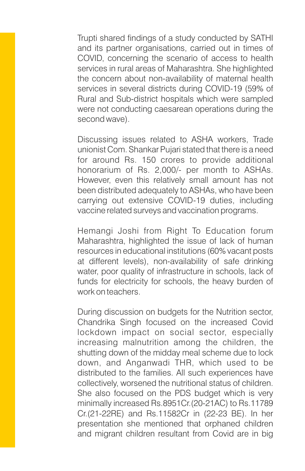Trupti shared findings of a study conducted by SATHI and its partner organisations, carried out in times of COVID, concerning the scenario of access to health services in rural areas of Maharashtra. She highlighted the concern about non-availability of maternal health services in several districts during COVID-19 (59% of Rural and Sub-district hospitals which were sampled were not conducting caesarean operations during the second wave).

Discussing issues related to ASHA workers, Trade unionist Com. Shankar Pujari stated that there is a need for around Rs. 150 crores to provide additional honorarium of Rs. 2,000/- per month to ASHAs. However, even this relatively small amount has not been distributed adequately to ASHAs, who have been carrying out extensive COVID-19 duties, including vaccine related surveys and vaccination programs.

Hemangi Joshi from Right To Education forum Maharashtra, highlighted the issue of lack of human resources in educational institutions (60% vacant posts at different levels), non-availability of safe drinking water, poor quality of infrastructure in schools, lack of funds for electricity for schools, the heavy burden of work on teachers.

During discussion on budgets for the Nutrition sector, Chandrika Singh focused on the increased Covid lockdown impact on social sector, especially increasing malnutrition among the children, the shutting down of the midday meal scheme due to lock down, and Anganwadi THR, which used to be distributed to the families. All such experiences have collectively, worsened the nutritional status of children. She also focused on the PDS budget which is very minimally increased Rs.8951Cr.(20-21AC) to Rs.11789 Cr.(21-22RE) and Rs.11582Cr in (22-23 BE). In her presentation she mentioned that orphaned children and migrant children resultant from Covid are in big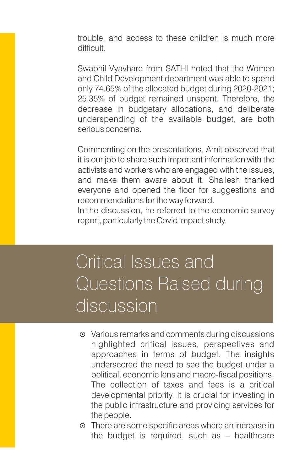trouble, and access to these children is much more difficult.

Swapnil Vyavhare from SATHI noted that the Women and Child Development department was able to spend only 74.65% of the allocated budget during 2020-2021; 25.35% of budget remained unspent. Therefore, the decrease in budgetary allocations, and deliberate underspending of the available budget, are both serious concerns.

Commenting on the presentations, Amit observed that it is our job to share such important information with the activists and workers who are engaged with the issues, and make them aware about it. Shailesh thanked everyone and opened the floor for suggestions and recommendations for the way forward.

In the discussion, he referred to the economic survey report, particularly the Covid impact study.

### Critical Issues and Questions Raised during discussion

- ¤ Various remarks and comments during discussions highlighted critical issues, perspectives and approaches in terms of budget. The insights underscored the need to see the budget under a political, economic lens and macro-fiscal positions. The collection of taxes and fees is a critical developmental priority. It is crucial for investing in the public infrastructure and providing services for the people.
- ¤ There are some specific areas where an increase in the budget is required, such as – healthcare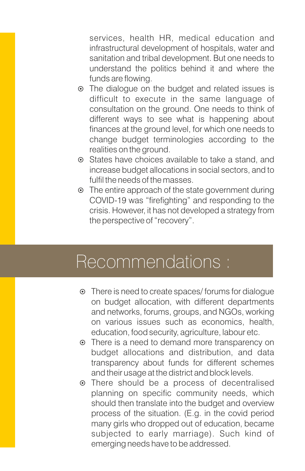services, health HR, medical education and infrastructural development of hospitals, water and sanitation and tribal development. But one needs to understand the politics behind it and where the funds are flowing.

- The dialogue on the budget and related issues is difficult to execute in the same language of consultation on the ground. One needs to think of different ways to see what is happening about finances at the ground level, for which one needs to change budget terminologies according to the realities on the ground.
- ¤ States have choices available to take a stand, and increase budget allocations in social sectors, and to fulfil the needs of the masses.
- The entire approach of the state government during COVID-19 was "firefighting" and responding to the crisis. However, it has not developed a strategy from the perspective of "recovery".

#### Recommendations :

- $\odot$  There is need to create spaces/ forums for dialogue on budget allocation, with different departments and networks, forums, groups, and NGOs, working on various issues such as economics, health, education, food security, agriculture, labour etc.
- There is a need to demand more transparency on budget allocations and distribution, and data transparency about funds for different schemes and their usage at the district and block levels.
- $\odot$  There should be a process of decentralised planning on specific community needs, which should then translate into the budget and overview process of the situation. (E.g. in the covid period many girls who dropped out of education, became subjected to early marriage). Such kind of emerging needs have to be addressed.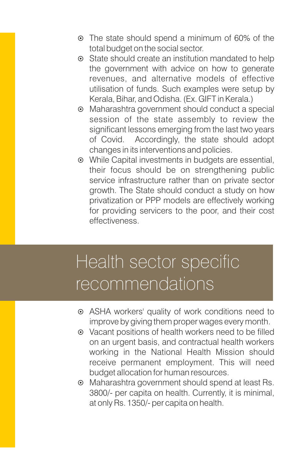- ¤ The state should spend a minimum of 60% of the total budget on the social sector.
- ¤ State should create an institution mandated to help the government with advice on how to generate revenues, and alternative models of effective utilisation of funds. Such examples were setup by Kerala, Bihar, and Odisha. (Ex. GIFT in Kerala.)
- Maharashtra government should conduct a special session of the state assembly to review the significant lessons emerging from the last two years of Covid. Accordingly, the state should adopt changes in its interventions and policies.
- ¤ While Capital investments in budgets are essential, their focus should be on strengthening public service infrastructure rather than on private sector growth. The State should conduct a study on how privatization or PPP models are effectively working for providing servicers to the poor, and their cost effectiveness.

#### Health sector specific recommendations

- ¤ ASHA workers' quality of work conditions need to improve by giving them proper wages every month.
- ¤ Vacant positions of health workers need to be filled on an urgent basis, and contractual health workers working in the National Health Mission should receive permanent employment. This will need budget allocation for human resources.
- Maharashtra government should spend at least Rs. 3800/- per capita on health. Currently, it is minimal, at only Rs. 1350/- per capita on health.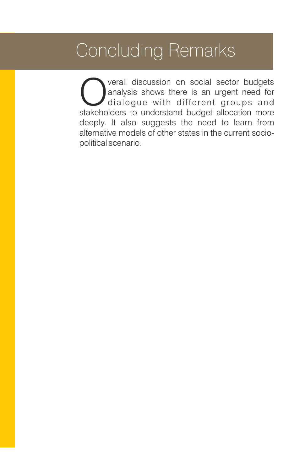## Concluding Remarks

verall discussion on social sector budgets<br>analysis shows there is an urgent need for dialogue with different groups and stakeholders to understand budget allocation more deeply. It also suggests the need to learn from alternative models of other states in the current sociopolitical scenario.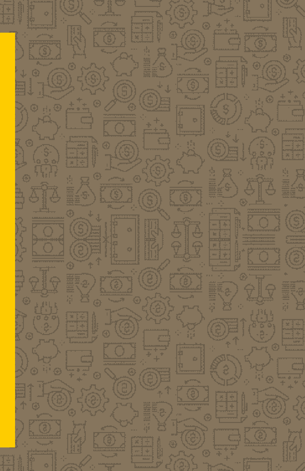